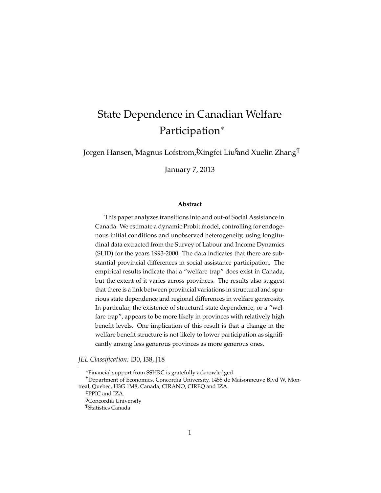# State Dependence in Canadian Welfare Participation<sup>∗</sup>

Jorgen Hansen,†Magnus Lofstrom,‡Xingfei Liu§and Xuelin Zhang¶

January 7, 2013

#### **Abstract**

This paper analyzes transitions into and out-of Social Assistance in Canada. We estimate a dynamic Probit model, controlling for endogenous initial conditions and unobserved heterogeneity, using longitudinal data extracted from the Survey of Labour and Income Dynamics (SLID) for the years 1993-2000. The data indicates that there are substantial provincial differences in social assistance participation. The empirical results indicate that a "welfare trap" does exist in Canada, but the extent of it varies across provinces. The results also suggest that there is a link between provincial variations in structural and spurious state dependence and regional differences in welfare generosity. In particular, the existence of structural state dependence, or a "welfare trap", appears to be more likely in provinces with relatively high benefit levels. One implication of this result is that a change in the welfare benefit structure is not likely to lower participation as significantly among less generous provinces as more generous ones.

*JEL Classification:* I30, I38, J18

<sup>∗</sup>Financial support from SSHRC is gratefully acknowledged.

†Department of Economics, Concordia University, 1455 de Maisonneuve Blvd W, Montreal, Quebec, H3G 1M8, Canada, CIRANO, CIREQ and IZA.

‡PPIC and IZA.

§Concordia University

<sup>¶</sup>Statistics Canada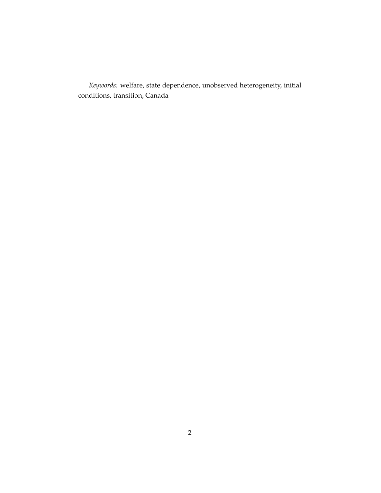*Keywords:* welfare, state dependence, unobserved heterogeneity, initial conditions, transition, Canada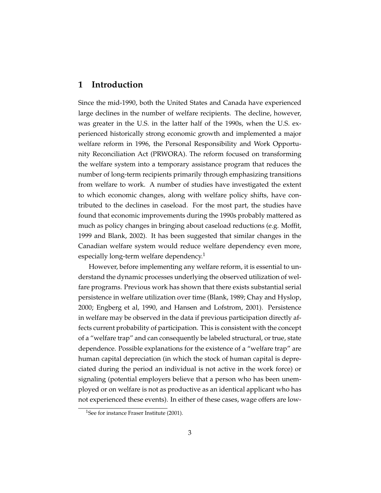#### **1 Introduction**

Since the mid-1990, both the United States and Canada have experienced large declines in the number of welfare recipients. The decline, however, was greater in the U.S. in the latter half of the 1990s, when the U.S. experienced historically strong economic growth and implemented a major welfare reform in 1996, the Personal Responsibility and Work Opportunity Reconciliation Act (PRWORA). The reform focused on transforming the welfare system into a temporary assistance program that reduces the number of long-term recipients primarily through emphasizing transitions from welfare to work. A number of studies have investigated the extent to which economic changes, along with welfare policy shifts, have contributed to the declines in caseload. For the most part, the studies have found that economic improvements during the 1990s probably mattered as much as policy changes in bringing about caseload reductions (e.g. Moffit, 1999 and Blank, 2002). It has been suggested that similar changes in the Canadian welfare system would reduce welfare dependency even more, especially long-term welfare dependency.<sup>1</sup>

However, before implementing any welfare reform, it is essential to understand the dynamic processes underlying the observed utilization of welfare programs. Previous work has shown that there exists substantial serial persistence in welfare utilization over time (Blank, 1989; Chay and Hyslop, 2000; Engberg et al, 1990, and Hansen and Lofstrom, 2001). Persistence in welfare may be observed in the data if previous participation directly affects current probability of participation. This is consistent with the concept of a "welfare trap" and can consequently be labeled structural, or true, state dependence. Possible explanations for the existence of a "welfare trap" are human capital depreciation (in which the stock of human capital is depreciated during the period an individual is not active in the work force) or signaling (potential employers believe that a person who has been unemployed or on welfare is not as productive as an identical applicant who has not experienced these events). In either of these cases, wage offers are low-

<sup>&</sup>lt;sup>1</sup>See for instance Fraser Institute (2001).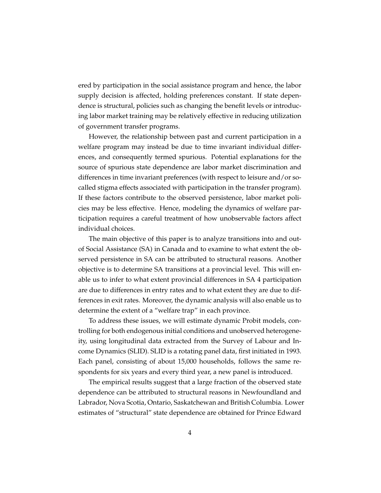ered by participation in the social assistance program and hence, the labor supply decision is affected, holding preferences constant. If state dependence is structural, policies such as changing the benefit levels or introducing labor market training may be relatively effective in reducing utilization of government transfer programs.

However, the relationship between past and current participation in a welfare program may instead be due to time invariant individual differences, and consequently termed spurious. Potential explanations for the source of spurious state dependence are labor market discrimination and differences in time invariant preferences (with respect to leisure and/or socalled stigma effects associated with participation in the transfer program). If these factors contribute to the observed persistence, labor market policies may be less effective. Hence, modeling the dynamics of welfare participation requires a careful treatment of how unobservable factors affect individual choices.

The main objective of this paper is to analyze transitions into and outof Social Assistance (SA) in Canada and to examine to what extent the observed persistence in SA can be attributed to structural reasons. Another objective is to determine SA transitions at a provincial level. This will enable us to infer to what extent provincial differences in SA 4 participation are due to differences in entry rates and to what extent they are due to differences in exit rates. Moreover, the dynamic analysis will also enable us to determine the extent of a "welfare trap" in each province.

To address these issues, we will estimate dynamic Probit models, controlling for both endogenous initial conditions and unobserved heterogeneity, using longitudinal data extracted from the Survey of Labour and Income Dynamics (SLID). SLID is a rotating panel data, first initiated in 1993. Each panel, consisting of about 15,000 households, follows the same respondents for six years and every third year, a new panel is introduced.

The empirical results suggest that a large fraction of the observed state dependence can be attributed to structural reasons in Newfoundland and Labrador, Nova Scotia, Ontario, Saskatchewan and British Columbia. Lower estimates of "structural" state dependence are obtained for Prince Edward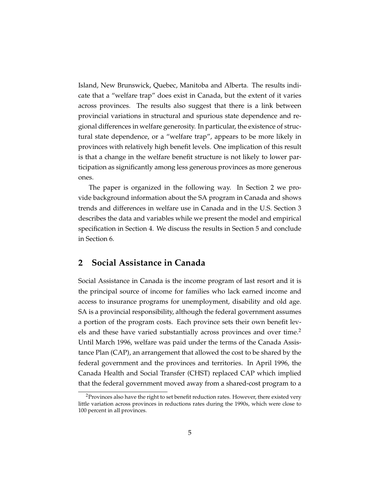Island, New Brunswick, Quebec, Manitoba and Alberta. The results indicate that a "welfare trap" does exist in Canada, but the extent of it varies across provinces. The results also suggest that there is a link between provincial variations in structural and spurious state dependence and regional differences in welfare generosity. In particular, the existence of structural state dependence, or a "welfare trap", appears to be more likely in provinces with relatively high benefit levels. One implication of this result is that a change in the welfare benefit structure is not likely to lower participation as significantly among less generous provinces as more generous ones.

The paper is organized in the following way. In Section 2 we provide background information about the SA program in Canada and shows trends and differences in welfare use in Canada and in the U.S. Section 3 describes the data and variables while we present the model and empirical specification in Section 4. We discuss the results in Section 5 and conclude in Section 6.

#### **2 Social Assistance in Canada**

Social Assistance in Canada is the income program of last resort and it is the principal source of income for families who lack earned income and access to insurance programs for unemployment, disability and old age. SA is a provincial responsibility, although the federal government assumes a portion of the program costs. Each province sets their own benefit levels and these have varied substantially across provinces and over time.<sup>2</sup> Until March 1996, welfare was paid under the terms of the Canada Assistance Plan (CAP), an arrangement that allowed the cost to be shared by the federal government and the provinces and territories. In April 1996, the Canada Health and Social Transfer (CHST) replaced CAP which implied that the federal government moved away from a shared-cost program to a

<sup>&</sup>lt;sup>2</sup>Provinces also have the right to set benefit reduction rates. However, there existed very little variation across provinces in reductions rates during the 1990s, which were close to 100 percent in all provinces.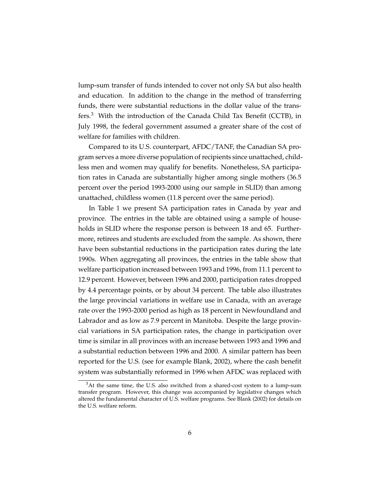lump-sum transfer of funds intended to cover not only SA but also health and education. In addition to the change in the method of transferring funds, there were substantial reductions in the dollar value of the transfers.<sup>3</sup> With the introduction of the Canada Child Tax Benefit (CCTB), in July 1998, the federal government assumed a greater share of the cost of welfare for families with children.

Compared to its U.S. counterpart, AFDC/TANF, the Canadian SA program serves a more diverse population of recipients since unattached, childless men and women may qualify for benefits. Nonetheless, SA participation rates in Canada are substantially higher among single mothers (36.5 percent over the period 1993-2000 using our sample in SLID) than among unattached, childless women (11.8 percent over the same period).

In Table 1 we present SA participation rates in Canada by year and province. The entries in the table are obtained using a sample of households in SLID where the response person is between 18 and 65. Furthermore, retirees and students are excluded from the sample. As shown, there have been substantial reductions in the participation rates during the late 1990s. When aggregating all provinces, the entries in the table show that welfare participation increased between 1993 and 1996, from 11.1 percent to 12.9 percent. However, between 1996 and 2000, participation rates dropped by 4.4 percentage points, or by about 34 percent. The table also illustrates the large provincial variations in welfare use in Canada, with an average rate over the 1993-2000 period as high as 18 percent in Newfoundland and Labrador and as low as 7.9 percent in Manitoba. Despite the large provincial variations in SA participation rates, the change in participation over time is similar in all provinces with an increase between 1993 and 1996 and a substantial reduction between 1996 and 2000. A similar pattern has been reported for the U.S. (see for example Blank, 2002), where the cash benefit system was substantially reformed in 1996 when AFDC was replaced with

 $3$ At the same time, the U.S. also switched from a shared-cost system to a lump-sum transfer program. However, this change was accompanied by legislative changes which altered the fundamental character of U.S. welfare programs. See Blank (2002) for details on the U.S. welfare reform.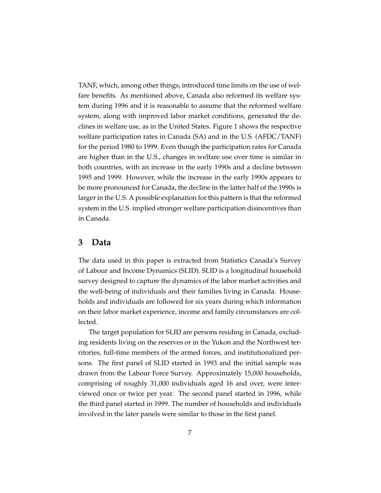TANF, which, among other things, introduced time limits on the use of welfare benefits. As mentioned above, Canada also reformed its welfare system during 1996 and it is reasonable to assume that the reformed welfare system, along with improved labor market conditions, generated the declines in welfare use, as in the United States. Figure 1 shows the respective welfare participation rates in Canada (SA) and in the U.S. (AFDC/TANF) for the period 1980 to 1999. Even though the participation rates for Canada are higher than in the U.S., changes in welfare use over time is similar in both countries, with an increase in the early 1990s and a decline between 1995 and 1999. However, while the increase in the early 1990s appears to be more pronounced for Canada, the decline in the latter half of the 1990s is larger in the U.S. A possible explanation for this pattern is that the reformed system in the U.S. implied stronger welfare participation disincentives than in Canada.

#### **3 Data**

The data used in this paper is extracted from Statistics Canada's Survey of Labour and Income Dynamics (SLID). SLID is a longitudinal household survey designed to capture the dynamics of the labor market activities and the well-being of individuals and their families living in Canada. Households and individuals are followed for six years during which information on their labor market experience, income and family circumstances are collected.

The target population for SLID are persons residing in Canada, excluding residents living on the reserves or in the Yukon and the Northwest territories, full-time members of the armed forces, and institutionalized persons. The first panel of SLID started in 1993 and the initial sample was drawn from the Labour Force Survey. Approximately 15,000 households, comprising of roughly 31,000 individuals aged 16 and over, were interviewed once or twice per year. The second panel started in 1996, while the third panel started in 1999. The number of households and individuals involved in the later panels were similar to those in the first panel.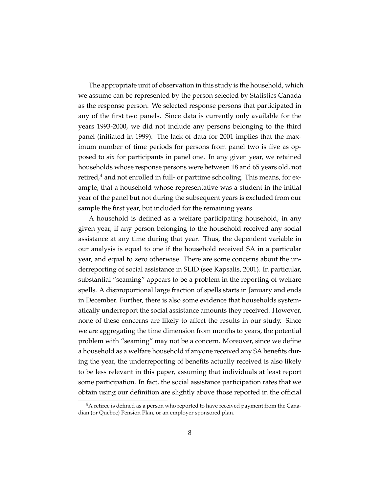The appropriate unit of observation in this study is the household, which we assume can be represented by the person selected by Statistics Canada as the response person. We selected response persons that participated in any of the first two panels. Since data is currently only available for the years 1993-2000, we did not include any persons belonging to the third panel (initiated in 1999). The lack of data for 2001 implies that the maximum number of time periods for persons from panel two is five as opposed to six for participants in panel one. In any given year, we retained households whose response persons were between 18 and 65 years old, not retired, $4$  and not enrolled in full- or parttime schooling. This means, for example, that a household whose representative was a student in the initial year of the panel but not during the subsequent years is excluded from our sample the first year, but included for the remaining years.

A household is defined as a welfare participating household, in any given year, if any person belonging to the household received any social assistance at any time during that year. Thus, the dependent variable in our analysis is equal to one if the household received SA in a particular year, and equal to zero otherwise. There are some concerns about the underreporting of social assistance in SLID (see Kapsalis, 2001). In particular, substantial "seaming" appears to be a problem in the reporting of welfare spells. A disproportional large fraction of spells starts in January and ends in December. Further, there is also some evidence that households systematically underreport the social assistance amounts they received. However, none of these concerns are likely to affect the results in our study. Since we are aggregating the time dimension from months to years, the potential problem with "seaming" may not be a concern. Moreover, since we define a household as a welfare household if anyone received any SA benefits during the year, the underreporting of benefits actually received is also likely to be less relevant in this paper, assuming that individuals at least report some participation. In fact, the social assistance participation rates that we obtain using our definition are slightly above those reported in the official

<sup>&</sup>lt;sup>4</sup>A retiree is defined as a person who reported to have received payment from the Canadian (or Quebec) Pension Plan, or an employer sponsored plan.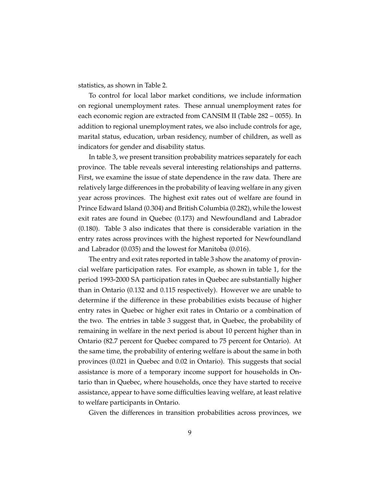statistics, as shown in Table 2.

To control for local labor market conditions, we include information on regional unemployment rates. These annual unemployment rates for each economic region are extracted from CANSIM II (Table 282 – 0055). In addition to regional unemployment rates, we also include controls for age, marital status, education, urban residency, number of children, as well as indicators for gender and disability status.

In table 3, we present transition probability matrices separately for each province. The table reveals several interesting relationships and patterns. First, we examine the issue of state dependence in the raw data. There are relatively large differences in the probability of leaving welfare in any given year across provinces. The highest exit rates out of welfare are found in Prince Edward Island (0.304) and British Columbia (0.282), while the lowest exit rates are found in Quebec (0.173) and Newfoundland and Labrador (0.180). Table 3 also indicates that there is considerable variation in the entry rates across provinces with the highest reported for Newfoundland and Labrador (0.035) and the lowest for Manitoba (0.016).

The entry and exit rates reported in table 3 show the anatomy of provincial welfare participation rates. For example, as shown in table 1, for the period 1993-2000 SA participation rates in Quebec are substantially higher than in Ontario (0.132 and 0.115 respectively). However we are unable to determine if the difference in these probabilities exists because of higher entry rates in Quebec or higher exit rates in Ontario or a combination of the two. The entries in table 3 suggest that, in Quebec, the probability of remaining in welfare in the next period is about 10 percent higher than in Ontario (82.7 percent for Quebec compared to 75 percent for Ontario). At the same time, the probability of entering welfare is about the same in both provinces (0.021 in Quebec and 0.02 in Ontario). This suggests that social assistance is more of a temporary income support for households in Ontario than in Quebec, where households, once they have started to receive assistance, appear to have some difficulties leaving welfare, at least relative to welfare participants in Ontario.

Given the differences in transition probabilities across provinces, we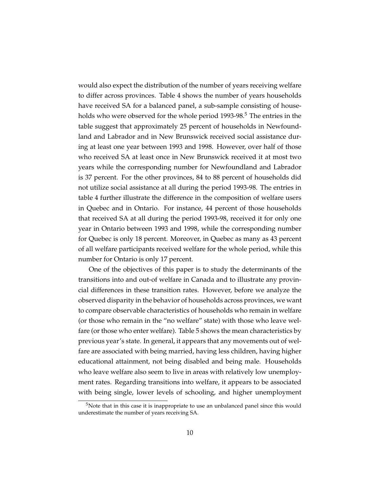would also expect the distribution of the number of years receiving welfare to differ across provinces. Table 4 shows the number of years households have received SA for a balanced panel, a sub-sample consisting of households who were observed for the whole period 1993-98.<sup>5</sup> The entries in the table suggest that approximately 25 percent of households in Newfoundland and Labrador and in New Brunswick received social assistance during at least one year between 1993 and 1998. However, over half of those who received SA at least once in New Brunswick received it at most two years while the corresponding number for Newfoundland and Labrador is 37 percent. For the other provinces, 84 to 88 percent of households did not utilize social assistance at all during the period 1993-98. The entries in table 4 further illustrate the difference in the composition of welfare users in Quebec and in Ontario. For instance, 44 percent of those households that received SA at all during the period 1993-98, received it for only one year in Ontario between 1993 and 1998, while the corresponding number for Quebec is only 18 percent. Moreover, in Quebec as many as 43 percent of all welfare participants received welfare for the whole period, while this number for Ontario is only 17 percent.

One of the objectives of this paper is to study the determinants of the transitions into and out-of welfare in Canada and to illustrate any provincial differences in these transition rates. However, before we analyze the observed disparity in the behavior of households across provinces, we want to compare observable characteristics of households who remain in welfare (or those who remain in the "no welfare" state) with those who leave welfare (or those who enter welfare). Table 5 shows the mean characteristics by previous year's state. In general, it appears that any movements out of welfare are associated with being married, having less children, having higher educational attainment, not being disabled and being male. Households who leave welfare also seem to live in areas with relatively low unemployment rates. Regarding transitions into welfare, it appears to be associated with being single, lower levels of schooling, and higher unemployment

<sup>5</sup>Note that in this case it is inappropriate to use an unbalanced panel since this would underestimate the number of years receiving SA.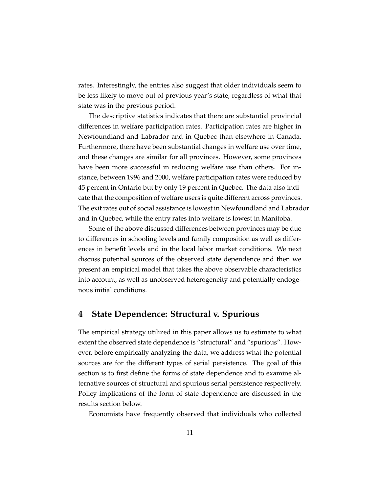rates. Interestingly, the entries also suggest that older individuals seem to be less likely to move out of previous year's state, regardless of what that state was in the previous period.

The descriptive statistics indicates that there are substantial provincial differences in welfare participation rates. Participation rates are higher in Newfoundland and Labrador and in Quebec than elsewhere in Canada. Furthermore, there have been substantial changes in welfare use over time, and these changes are similar for all provinces. However, some provinces have been more successful in reducing welfare use than others. For instance, between 1996 and 2000, welfare participation rates were reduced by 45 percent in Ontario but by only 19 percent in Quebec. The data also indicate that the composition of welfare users is quite different across provinces. The exit rates out of social assistance is lowest in Newfoundland and Labrador and in Quebec, while the entry rates into welfare is lowest in Manitoba.

Some of the above discussed differences between provinces may be due to differences in schooling levels and family composition as well as differences in benefit levels and in the local labor market conditions. We next discuss potential sources of the observed state dependence and then we present an empirical model that takes the above observable characteristics into account, as well as unobserved heterogeneity and potentially endogenous initial conditions.

#### **4 State Dependence: Structural v. Spurious**

The empirical strategy utilized in this paper allows us to estimate to what extent the observed state dependence is "structural" and "spurious". However, before empirically analyzing the data, we address what the potential sources are for the different types of serial persistence. The goal of this section is to first define the forms of state dependence and to examine alternative sources of structural and spurious serial persistence respectively. Policy implications of the form of state dependence are discussed in the results section below.

Economists have frequently observed that individuals who collected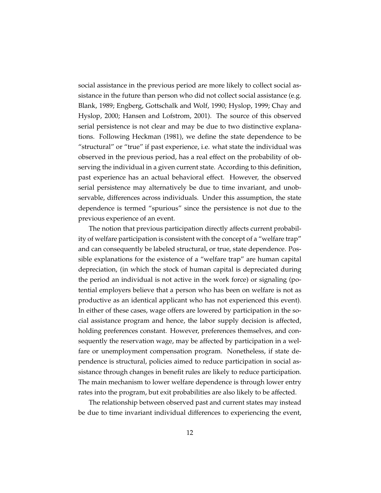social assistance in the previous period are more likely to collect social assistance in the future than person who did not collect social assistance (e.g. Blank, 1989; Engberg, Gottschalk and Wolf, 1990; Hyslop, 1999; Chay and Hyslop, 2000; Hansen and Lofstrom, 2001). The source of this observed serial persistence is not clear and may be due to two distinctive explanations. Following Heckman (1981), we define the state dependence to be "structural" or "true" if past experience, i.e. what state the individual was observed in the previous period, has a real effect on the probability of observing the individual in a given current state. According to this definition, past experience has an actual behavioral effect. However, the observed serial persistence may alternatively be due to time invariant, and unobservable, differences across individuals. Under this assumption, the state dependence is termed "spurious" since the persistence is not due to the previous experience of an event.

The notion that previous participation directly affects current probability of welfare participation is consistent with the concept of a "welfare trap" and can consequently be labeled structural, or true, state dependence. Possible explanations for the existence of a "welfare trap" are human capital depreciation, (in which the stock of human capital is depreciated during the period an individual is not active in the work force) or signaling (potential employers believe that a person who has been on welfare is not as productive as an identical applicant who has not experienced this event). In either of these cases, wage offers are lowered by participation in the social assistance program and hence, the labor supply decision is affected, holding preferences constant. However, preferences themselves, and consequently the reservation wage, may be affected by participation in a welfare or unemployment compensation program. Nonetheless, if state dependence is structural, policies aimed to reduce participation in social assistance through changes in benefit rules are likely to reduce participation. The main mechanism to lower welfare dependence is through lower entry rates into the program, but exit probabilities are also likely to be affected.

The relationship between observed past and current states may instead be due to time invariant individual differences to experiencing the event,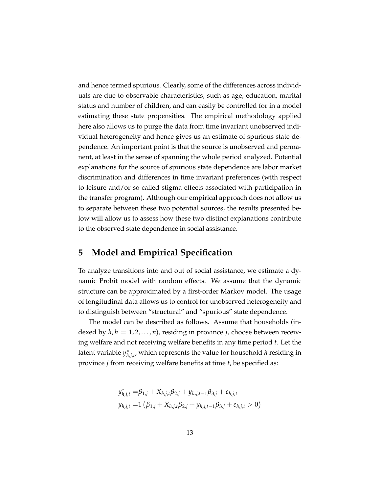and hence termed spurious. Clearly, some of the differences across individuals are due to observable characteristics, such as age, education, marital status and number of children, and can easily be controlled for in a model estimating these state propensities. The empirical methodology applied here also allows us to purge the data from time invariant unobserved individual heterogeneity and hence gives us an estimate of spurious state dependence. An important point is that the source is unobserved and permanent, at least in the sense of spanning the whole period analyzed. Potential explanations for the source of spurious state dependence are labor market discrimination and differences in time invariant preferences (with respect to leisure and/or so-called stigma effects associated with participation in the transfer program). Although our empirical approach does not allow us to separate between these two potential sources, the results presented below will allow us to assess how these two distinct explanations contribute to the observed state dependence in social assistance.

#### **5 Model and Empirical Specification**

To analyze transitions into and out of social assistance, we estimate a dynamic Probit model with random effects. We assume that the dynamic structure can be approximated by a first-order Markov model. The usage of longitudinal data allows us to control for unobserved heterogeneity and to distinguish between "structural" and "spurious" state dependence.

The model can be described as follows. Assume that households (indexed by  $h, h = 1, 2, ..., n$ , residing in province *j*, choose between receiving welfare and not receiving welfare benefits in any time period *t*. Let the latent variable *y* ∗ *h*,*j*,*t* , which represents the value for household *h* residing in province *j* from receiving welfare benefits at time *t*, be specified as:

$$
y_{h,j,t}^* = \beta_{1,j} + X_{h,j,t}\beta_{2,j} + y_{h,j,t-1}\beta_{3,j} + \varepsilon_{h,j,t}
$$
  

$$
y_{h,j,t} = 1 (\beta_{1,j} + X_{h,j,t}\beta_{2,j} + y_{h,j,t-1}\beta_{3,j} + \varepsilon_{h,j,t} > 0)
$$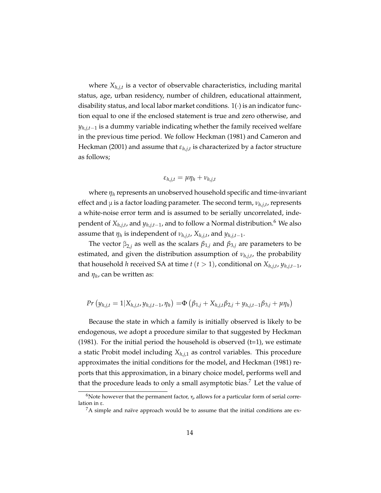where *Xh*,*j*,*<sup>t</sup>* is a vector of observable characteristics, including marital status, age, urban residency, number of children, educational attainment, disability status, and local labor market conditions.  $1(·)$  is an indicator function equal to one if the enclosed statement is true and zero otherwise, and *yh*,*j*,*t*−<sup>1</sup> is a dummy variable indicating whether the family received welfare in the previous time period. We follow Heckman (1981) and Cameron and Heckman (2001) and assume that *εh*,*j*,*<sup>t</sup>* is characterized by a factor structure as follows;

$$
\varepsilon_{h,j,t} = \mu \eta_h + \nu_{h,j,t}
$$

where *η<sup>h</sup>* represents an unobserved household specific and time-invariant effect and μ is a factor loading parameter. The second term, *νh*,*j*,*<sup>t</sup>* , represents a white-noise error term and is assumed to be serially uncorrelated, independent of *Xh*,*j*,*<sup>t</sup>* , and *yh*,*j*,*t*−<sup>1</sup> , and to follow a Normal distribution.<sup>6</sup> We also assume that  $\eta_h$  is independent of  $\nu_{h,j,t}$ ,  $X_{h,j,t}$ , and  $y_{h,j,t-1}$ .

The vector  $β_{2,j}$  as well as the scalars  $β_{1,j}$  and  $β_{3,j}$  are parameters to be estimated, and given the distribution assumption of *νh*,*j*,*<sup>t</sup>* , the probability that household *h* received SA at time *t* (*t* > 1), conditional on *Xh*,*j*,*<sup>t</sup>* , *yh*,*j*,*t*−<sup>1</sup> , and *η<sup>h</sup>* , can be written as:

$$
Pr(y_{h,j,t} = 1 | X_{h,j,t}, y_{h,j,t-1}, \eta_h) = \Phi(\beta_{1,j} + X_{h,j,t}\beta_{2,j} + y_{h,j,t-1}\beta_{3,j} + \mu \eta_h)
$$

Because the state in which a family is initially observed is likely to be endogenous, we adopt a procedure similar to that suggested by Heckman (1981). For the initial period the household is observed  $(t=1)$ , we estimate a static Probit model including *Xh*,*j*,1 as control variables. This procedure approximates the initial conditions for the model, and Heckman (1981) reports that this approximation, in a binary choice model, performs well and that the procedure leads to only a small asymptotic bias.<sup>7</sup> Let the value of

<sup>&</sup>lt;sup>6</sup>Note however that the permanent factor,  $\eta$ , allows for a particular form of serial correlation in ε.

<sup>&</sup>lt;sup>7</sup>A simple and naïve approach would be to assume that the initial conditions are ex-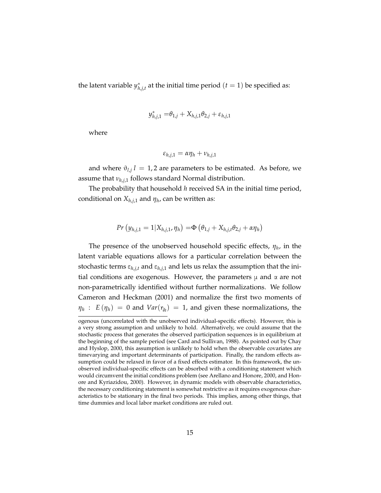the latent variable *y* ∗  $\hat{h}_{h,j,t}^*$  at the initial time period  $(t=1)$  be specified as:

$$
y_{h,j,1}^* = \theta_{1,j} + X_{h,j,1}\theta_{2,j} + \varepsilon_{h,j,1}
$$

where

$$
\varepsilon_{h,j,1} = \alpha \eta_h + \nu_{h,j,1}
$$

and where  $\vartheta_{l,j}$  *l* = 1,2 are parameters to be estimated. As before, we assume that *νh*,*j*,1 follows standard Normal distribution.

The probability that household *h* received SA in the initial time period, conditional on *Xh*,*j*,1 and *η<sup>h</sup>* , can be written as:

$$
Pr(y_{h,j,1} = 1 | X_{h,j,1}, \eta_h) = \Phi(\theta_{1,j} + X_{h,j,t} \theta_{2,j} + \alpha \eta_h)
$$

The presence of the unobserved household specific effects, *η<sup>h</sup>* , in the latent variable equations allows for a particular correlation between the stochastic terms  $\varepsilon_{h,j,t}$  and  $\varepsilon_{h,j,t}$  and lets us relax the assumption that the initial conditions are exogenous. However, the parameters  $\mu$  and  $\alpha$  are not non-parametrically identified without further normalizations. We follow Cameron and Heckman (2001) and normalize the first two moments of  $\eta_h$ : *E* ( $\eta_h$ ) = 0 and *Var*( $\eta_h$ ) = 1, and given these normalizations, the

ogenous (uncorrelated with the unobserved individual-specific effects). However, this is a very strong assumption and unlikely to hold. Alternatively, we could assume that the stochastic process that generates the observed participation sequences is in equilibrium at the beginning of the sample period (see Card and Sullivan, 1988). As pointed out by Chay and Hyslop, 2000, this assumption is unlikely to hold when the observable covariates are timevarying and important determinants of participation. Finally, the random effects assumption could be relaxed in favor of a fixed effects estimator. In this framework, the unobserved individual-specific effects can be absorbed with a conditioning statement which would circumvent the initial conditions problem (see Arellano and Honore, 2000, and Honore and Kyriazidou, 2000). However, in dynamic models with observable characteristics, the necessary conditioning statement is somewhat restrictive as it requires exogenous characteristics to be stationary in the final two periods. This implies, among other things, that time dummies and local labor market conditions are ruled out.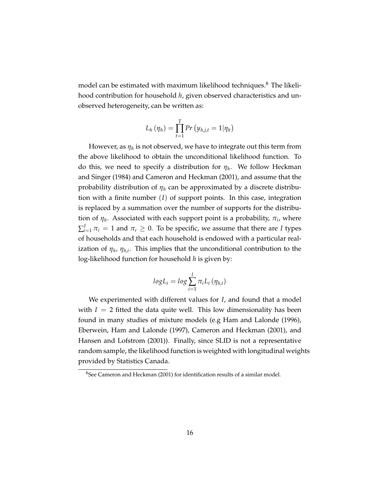model can be estimated with maximum likelihood techniques.<sup>8</sup> The likelihood contribution for household *h*, given observed characteristics and unobserved heterogeneity, can be written as:

$$
L_h(\eta_h) = \prod_{t=1}^T Pr(y_{h,j,t} = 1 | \eta_h)
$$

However, as *η<sup>h</sup>* is not observed, we have to integrate out this term from the above likelihood to obtain the unconditional likelihood function. To do this, we need to specify a distribution for *η<sup>h</sup>* . We follow Heckman and Singer (1984) and Cameron and Heckman (2001), and assume that the probability distribution of *η<sup>h</sup>* can be approximated by a discrete distribution with a finite number (*I*) of support points. In this case, integration is replaced by a summation over the number of supports for the distribution of  $\eta_h$ . Associated with each support point is a probability,  $\pi_i$ , where  $\sum_{i=1}^{I}\pi_i = 1$  and  $\pi_i \geq 0$ . To be specific, we assume that there are *I* types of households and that each household is endowed with a particular realization of  $\eta_h$ ,  $\eta_{h,i}$ . This implies that the unconditional contribution to the log-likelihood function for household *h* is given by:

$$
logL_i = log \sum_{i=1}^{I} \pi_i L_i (\eta_{h,i})
$$

We experimented with different values for *I*, and found that a model with  $I = 2$  fitted the data quite well. This low dimensionality has been found in many studies of mixture models (e.g Ham and Lalonde (1996), Eberwein, Ham and Lalonde (1997), Cameron and Heckman (2001), and Hansen and Lofstrom (2001)). Finally, since SLID is not a representative random sample, the likelihood function is weighted with longitudinal weights provided by Statistics Canada.

<sup>8</sup>See Cameron and Heckman (2001) for identification results of a similar model.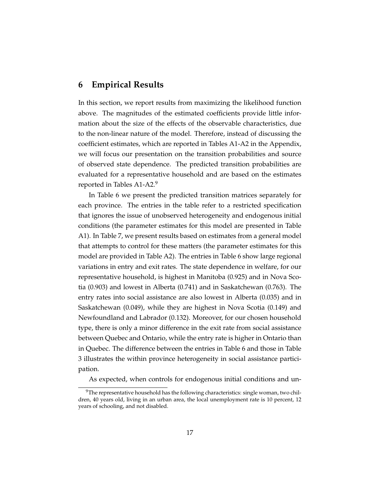#### **6 Empirical Results**

In this section, we report results from maximizing the likelihood function above. The magnitudes of the estimated coefficients provide little information about the size of the effects of the observable characteristics, due to the non-linear nature of the model. Therefore, instead of discussing the coefficient estimates, which are reported in Tables A1-A2 in the Appendix, we will focus our presentation on the transition probabilities and source of observed state dependence. The predicted transition probabilities are evaluated for a representative household and are based on the estimates reported in Tables A1-A2.<sup>9</sup>

In Table 6 we present the predicted transition matrices separately for each province. The entries in the table refer to a restricted specification that ignores the issue of unobserved heterogeneity and endogenous initial conditions (the parameter estimates for this model are presented in Table A1). In Table 7, we present results based on estimates from a general model that attempts to control for these matters (the parameter estimates for this model are provided in Table A2). The entries in Table 6 show large regional variations in entry and exit rates. The state dependence in welfare, for our representative household, is highest in Manitoba (0.925) and in Nova Scotia (0.903) and lowest in Alberta (0.741) and in Saskatchewan (0.763). The entry rates into social assistance are also lowest in Alberta (0.035) and in Saskatchewan (0.049), while they are highest in Nova Scotia (0.149) and Newfoundland and Labrador (0.132). Moreover, for our chosen household type, there is only a minor difference in the exit rate from social assistance between Quebec and Ontario, while the entry rate is higher in Ontario than in Quebec. The difference between the entries in Table 6 and those in Table 3 illustrates the within province heterogeneity in social assistance participation.

As expected, when controls for endogenous initial conditions and un-

<sup>&</sup>lt;sup>9</sup>The representative household has the following characteristics: single woman, two children, 40 years old, living in an urban area, the local unemployment rate is 10 percent, 12 years of schooling, and not disabled.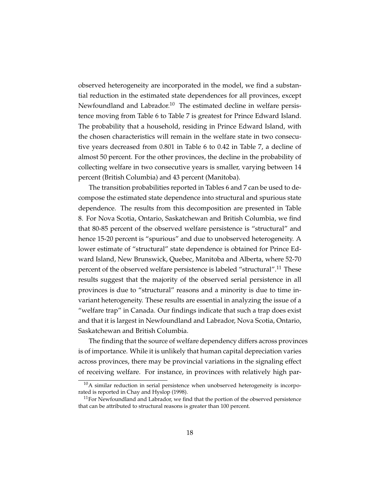observed heterogeneity are incorporated in the model, we find a substantial reduction in the estimated state dependences for all provinces, except Newfoundland and Labrador.<sup>10</sup> The estimated decline in welfare persistence moving from Table 6 to Table 7 is greatest for Prince Edward Island. The probability that a household, residing in Prince Edward Island, with the chosen characteristics will remain in the welfare state in two consecutive years decreased from 0.801 in Table 6 to 0.42 in Table 7, a decline of almost 50 percent. For the other provinces, the decline in the probability of collecting welfare in two consecutive years is smaller, varying between 14 percent (British Columbia) and 43 percent (Manitoba).

The transition probabilities reported in Tables 6 and 7 can be used to decompose the estimated state dependence into structural and spurious state dependence. The results from this decomposition are presented in Table 8. For Nova Scotia, Ontario, Saskatchewan and British Columbia, we find that 80-85 percent of the observed welfare persistence is "structural" and hence 15-20 percent is "spurious" and due to unobserved heterogeneity. A lower estimate of "structural" state dependence is obtained for Prince Edward Island, New Brunswick, Quebec, Manitoba and Alberta, where 52-70 percent of the observed welfare persistence is labeled "structural".<sup>11</sup> These results suggest that the majority of the observed serial persistence in all provinces is due to "structural" reasons and a minority is due to time invariant heterogeneity. These results are essential in analyzing the issue of a "welfare trap" in Canada. Our findings indicate that such a trap does exist and that it is largest in Newfoundland and Labrador, Nova Scotia, Ontario, Saskatchewan and British Columbia.

The finding that the source of welfare dependency differs across provinces is of importance. While it is unlikely that human capital depreciation varies across provinces, there may be provincial variations in the signaling effect of receiving welfare. For instance, in provinces with relatively high par-

 $10A$  similar reduction in serial persistence when unobserved heterogeneity is incorporated is reported in Chay and Hyslop (1998).

 $11$  For Newfoundland and Labrador, we find that the portion of the observed persistence that can be attributed to structural reasons is greater than 100 percent.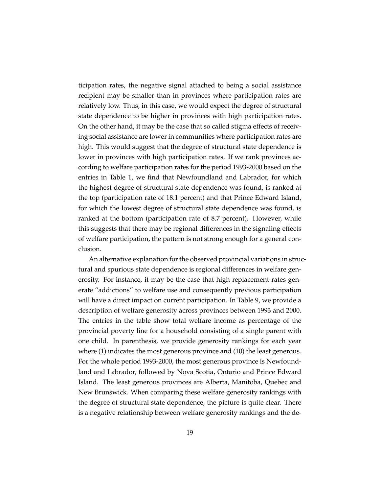ticipation rates, the negative signal attached to being a social assistance recipient may be smaller than in provinces where participation rates are relatively low. Thus, in this case, we would expect the degree of structural state dependence to be higher in provinces with high participation rates. On the other hand, it may be the case that so called stigma effects of receiving social assistance are lower in communities where participation rates are high. This would suggest that the degree of structural state dependence is lower in provinces with high participation rates. If we rank provinces according to welfare participation rates for the period 1993-2000 based on the entries in Table 1, we find that Newfoundland and Labrador, for which the highest degree of structural state dependence was found, is ranked at the top (participation rate of 18.1 percent) and that Prince Edward Island, for which the lowest degree of structural state dependence was found, is ranked at the bottom (participation rate of 8.7 percent). However, while this suggests that there may be regional differences in the signaling effects of welfare participation, the pattern is not strong enough for a general conclusion.

An alternative explanation for the observed provincial variations in structural and spurious state dependence is regional differences in welfare generosity. For instance, it may be the case that high replacement rates generate "addictions" to welfare use and consequently previous participation will have a direct impact on current participation. In Table 9, we provide a description of welfare generosity across provinces between 1993 and 2000. The entries in the table show total welfare income as percentage of the provincial poverty line for a household consisting of a single parent with one child. In parenthesis, we provide generosity rankings for each year where (1) indicates the most generous province and (10) the least generous. For the whole period 1993-2000, the most generous province is Newfoundland and Labrador, followed by Nova Scotia, Ontario and Prince Edward Island. The least generous provinces are Alberta, Manitoba, Quebec and New Brunswick. When comparing these welfare generosity rankings with the degree of structural state dependence, the picture is quite clear. There is a negative relationship between welfare generosity rankings and the de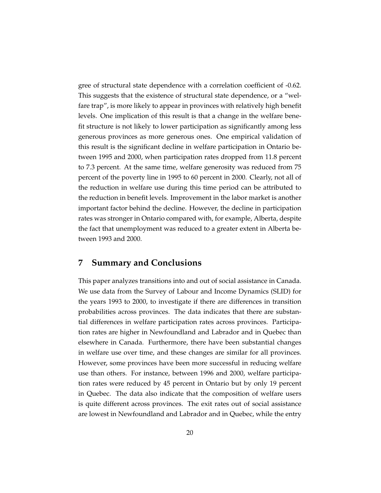gree of structural state dependence with a correlation coefficient of -0.62. This suggests that the existence of structural state dependence, or a "welfare trap", is more likely to appear in provinces with relatively high benefit levels. One implication of this result is that a change in the welfare benefit structure is not likely to lower participation as significantly among less generous provinces as more generous ones. One empirical validation of this result is the significant decline in welfare participation in Ontario between 1995 and 2000, when participation rates dropped from 11.8 percent to 7.3 percent. At the same time, welfare generosity was reduced from 75 percent of the poverty line in 1995 to 60 percent in 2000. Clearly, not all of the reduction in welfare use during this time period can be attributed to the reduction in benefit levels. Improvement in the labor market is another important factor behind the decline. However, the decline in participation rates was stronger in Ontario compared with, for example, Alberta, despite the fact that unemployment was reduced to a greater extent in Alberta between 1993 and 2000.

#### **7 Summary and Conclusions**

This paper analyzes transitions into and out of social assistance in Canada. We use data from the Survey of Labour and Income Dynamics (SLID) for the years 1993 to 2000, to investigate if there are differences in transition probabilities across provinces. The data indicates that there are substantial differences in welfare participation rates across provinces. Participation rates are higher in Newfoundland and Labrador and in Quebec than elsewhere in Canada. Furthermore, there have been substantial changes in welfare use over time, and these changes are similar for all provinces. However, some provinces have been more successful in reducing welfare use than others. For instance, between 1996 and 2000, welfare participation rates were reduced by 45 percent in Ontario but by only 19 percent in Quebec. The data also indicate that the composition of welfare users is quite different across provinces. The exit rates out of social assistance are lowest in Newfoundland and Labrador and in Quebec, while the entry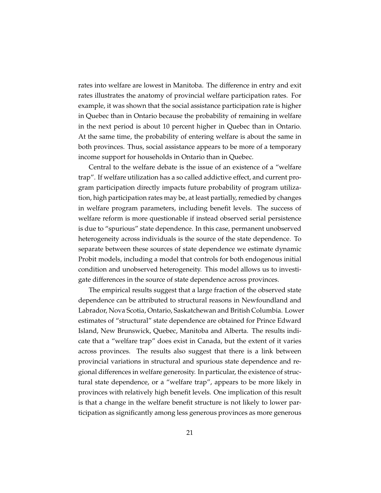rates into welfare are lowest in Manitoba. The difference in entry and exit rates illustrates the anatomy of provincial welfare participation rates. For example, it was shown that the social assistance participation rate is higher in Quebec than in Ontario because the probability of remaining in welfare in the next period is about 10 percent higher in Quebec than in Ontario. At the same time, the probability of entering welfare is about the same in both provinces. Thus, social assistance appears to be more of a temporary income support for households in Ontario than in Quebec.

Central to the welfare debate is the issue of an existence of a "welfare trap". If welfare utilization has a so called addictive effect, and current program participation directly impacts future probability of program utilization, high participation rates may be, at least partially, remedied by changes in welfare program parameters, including benefit levels. The success of welfare reform is more questionable if instead observed serial persistence is due to "spurious" state dependence. In this case, permanent unobserved heterogeneity across individuals is the source of the state dependence. To separate between these sources of state dependence we estimate dynamic Probit models, including a model that controls for both endogenous initial condition and unobserved heterogeneity. This model allows us to investigate differences in the source of state dependence across provinces.

The empirical results suggest that a large fraction of the observed state dependence can be attributed to structural reasons in Newfoundland and Labrador, Nova Scotia, Ontario, Saskatchewan and British Columbia. Lower estimates of "structural" state dependence are obtained for Prince Edward Island, New Brunswick, Quebec, Manitoba and Alberta. The results indicate that a "welfare trap" does exist in Canada, but the extent of it varies across provinces. The results also suggest that there is a link between provincial variations in structural and spurious state dependence and regional differences in welfare generosity. In particular, the existence of structural state dependence, or a "welfare trap", appears to be more likely in provinces with relatively high benefit levels. One implication of this result is that a change in the welfare benefit structure is not likely to lower participation as significantly among less generous provinces as more generous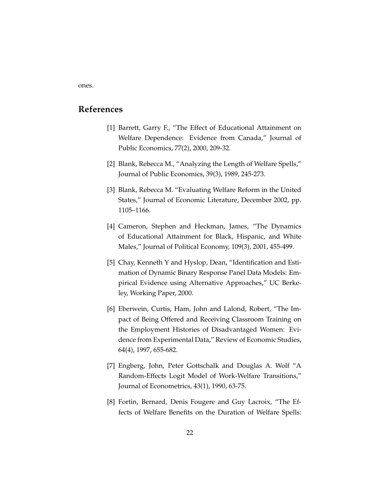ones.

#### **References**

- [1] Barrett, Garry F., "The Effect of Educational Attainment on Welfare Dependence: Evidence from Canada," Journal of Public Economics, 77(2), 2000, 209-32.
- [2] Blank, Rebecca M., "Analyzing the Length of Welfare Spells," Journal of Public Economics, 39(3), 1989, 245-273.
- [3] Blank, Rebecca M. "Evaluating Welfare Reform in the United States," Journal of Economic Literature, December 2002, pp. 1105–1166.
- [4] Cameron, Stephen and Heckman, James, "The Dynamics of Educational Attainment for Black, Hispanic, and White Males," Journal of Political Economy, 109(3), 2001, 455-499.
- [5] Chay, Kenneth Y and Hyslop, Dean, "Identification and Estimation of Dynamic Binary Response Panel Data Models: Empirical Evidence using Alternative Approaches," UC Berkeley, Working Paper, 2000.
- [6] Eberwein, Curtis, Ham, John and Lalond, Robert, "The Impact of Being Offered and Receiving Classroom Training on the Employment Histories of Disadvantaged Women: Evidence from Experimental Data," Review of Economic Studies, 64(4), 1997, 655-682.
- [7] Engberg, John, Peter Gottschalk and Douglas A. Wolf "A Random-Effects Logit Model of Work-Welfare Transitions," Journal of Econometrics, 43(1), 1990, 63-75.
- [8] Fortin, Bernard, Denis Fougere and Guy Lacroix, "The Effects of Welfare Benefits on the Duration of Welfare Spells: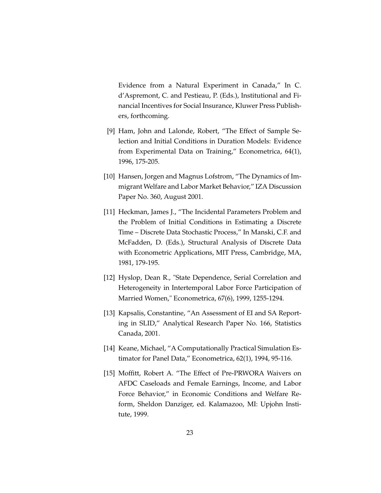Evidence from a Natural Experiment in Canada," In C. d'Aspremont, C. and Pestieau, P. (Eds.), Institutional and Financial Incentives for Social Insurance, Kluwer Press Publishers, forthcoming.

- [9] Ham, John and Lalonde, Robert, "The Effect of Sample Selection and Initial Conditions in Duration Models: Evidence from Experimental Data on Training," Econometrica, 64(1), 1996, 175-205.
- [10] Hansen, Jorgen and Magnus Lofstrom, "The Dynamics of Immigrant Welfare and Labor Market Behavior," IZA Discussion Paper No. 360, August 2001.
- [11] Heckman, James J., "The Incidental Parameters Problem and the Problem of Initial Conditions in Estimating a Discrete Time – Discrete Data Stochastic Process," In Manski, C.F. and McFadden, D. (Eds.), Structural Analysis of Discrete Data with Econometric Applications, MIT Press, Cambridge, MA, 1981, 179-195.
- [12] Hyslop, Dean R., "State Dependence, Serial Correlation and Heterogeneity in Intertemporal Labor Force Participation of Married Women," Econometrica, 67(6), 1999, 1255-1294.
- [13] Kapsalis, Constantine, "An Assessment of EI and SA Reporting in SLID," Analytical Research Paper No. 166, Statistics Canada, 2001.
- [14] Keane, Michael, "A Computationally Practical Simulation Estimator for Panel Data," Econometrica, 62(1), 1994, 95-116.
- [15] Moffitt, Robert A. "The Effect of Pre-PRWORA Waivers on AFDC Caseloads and Female Earnings, Income, and Labor Force Behavior," in Economic Conditions and Welfare Reform, Sheldon Danziger, ed. Kalamazoo, MI: Upjohn Institute, 1999.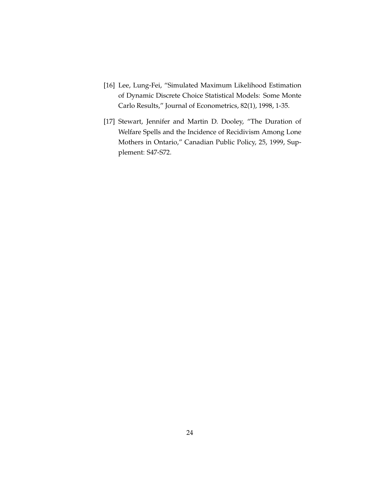- [16] Lee, Lung-Fei, "Simulated Maximum Likelihood Estimation of Dynamic Discrete Choice Statistical Models: Some Monte Carlo Results," Journal of Econometrics, 82(1), 1998, 1-35.
- [17] Stewart, Jennifer and Martin D. Dooley, "The Duration of Welfare Spells and the Incidence of Recidivism Among Lone Mothers in Ontario," Canadian Public Policy, 25, 1999, Supplement: S47-S72.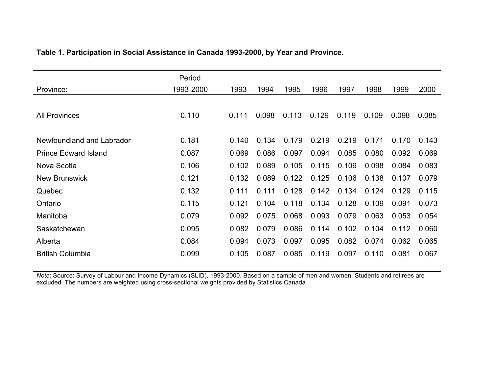|                             | Period    |       |       |       |       |       |       |       |       |
|-----------------------------|-----------|-------|-------|-------|-------|-------|-------|-------|-------|
| Province:                   | 1993-2000 | 1993  | 1994  | 1995  | 1996  | 1997  | 1998  | 1999  | 2000  |
|                             |           |       |       |       |       |       |       |       |       |
| <b>All Provinces</b>        | 0.110     | 0.111 | 0.098 | 0.113 | 0.129 | 0.119 | 0.109 | 0.098 | 0.085 |
|                             |           |       |       |       |       |       |       |       |       |
| Newfoundland and Labrador   | 0.181     | 0.140 | 0.134 | 0.179 | 0.219 | 0.219 | 0.171 | 0.170 | 0.143 |
| <b>Prince Edward Island</b> | 0.087     | 0.069 | 0.086 | 0.097 | 0.094 | 0.085 | 0.080 | 0.092 | 0.069 |
| Nova Scotia                 | 0.106     | 0.102 | 0.089 | 0.105 | 0.115 | 0.109 | 0.098 | 0.084 | 0.083 |
| <b>New Brunswick</b>        | 0.121     | 0.132 | 0.089 | 0.122 | 0.125 | 0.106 | 0.138 | 0.107 | 0.079 |
| Quebec                      | 0.132     | 0.111 | 0.111 | 0.128 | 0.142 | 0.134 | 0.124 | 0.129 | 0.115 |
| Ontario                     | 0.115     | 0.121 | 0.104 | 0.118 | 0.134 | 0.128 | 0.109 | 0.091 | 0.073 |
| Manitoba                    | 0.079     | 0.092 | 0.075 | 0.068 | 0.093 | 0.079 | 0.063 | 0.053 | 0.054 |
| Saskatchewan                | 0.095     | 0.082 | 0.079 | 0.086 | 0.114 | 0.102 | 0.104 | 0.112 | 0.060 |
| Alberta                     | 0.084     | 0.094 | 0.073 | 0.097 | 0.095 | 0.082 | 0.074 | 0.062 | 0.065 |
| <b>British Columbia</b>     | 0.099     | 0.105 | 0.087 | 0.085 | 0.119 | 0.097 | 0.110 | 0.081 | 0.067 |

#### **Table 1. Participation in Social Assistance in Canada 1993-2000, by Year and Province.**

*Note*: Source: Survey of Labour and Income Dynamics (SLID), 1993-2000. Based on a sample of men and women. Students and retirees are excluded. The numbers are weighted using cross-sectional weights provided by Statistics Canada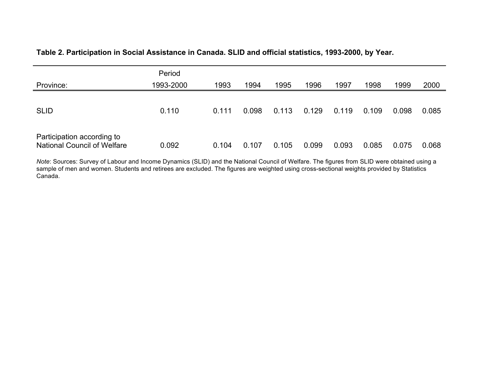#### **Table 2. Participation in Social Assistance in Canada. SLID and official statistics, 1993-2000, by Year.**

| Province:                                                        | Period<br>1993-2000 | 1993  | 1994  | 1995  | 1996  | 1997  | 1998  | 1999  | 2000  |
|------------------------------------------------------------------|---------------------|-------|-------|-------|-------|-------|-------|-------|-------|
| <b>SLID</b>                                                      | 0.110               | 0.111 | 0.098 | 0.113 | 0.129 | 0.119 | 0.109 | 0.098 | 0.085 |
| Participation according to<br><b>National Council of Welfare</b> | 0.092               | 0.104 | 0.107 | 0.105 | 0.099 | 0.093 | 0.085 | 0.075 | 0.068 |

*Note*: Sources: Survey of Labour and Income Dynamics (SLID) and the National Council of Welfare. The figures from SLID were obtained using a sample of men and women. Students and retirees are excluded. The figures are weighted using cross-sectional weights provided by Statistics Canada.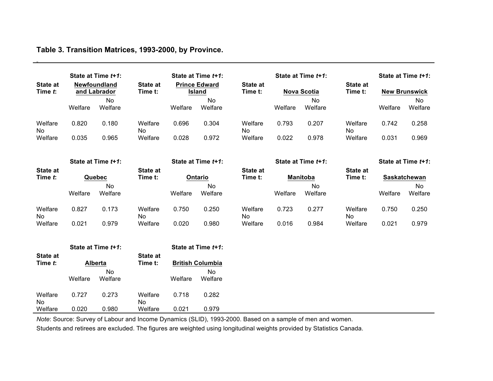|                            |         | State at Time t+1:           |                            |         | State at Time t+1:                    |                            |         | State at Time t+1: |                            |                    | State at Time t+1:   |
|----------------------------|---------|------------------------------|----------------------------|---------|---------------------------------------|----------------------------|---------|--------------------|----------------------------|--------------------|----------------------|
| <b>State at</b><br>Time t: |         | Newfoundland<br>and Labrador | <b>State at</b><br>Time t: |         | <b>Prince Edward</b><br><b>Island</b> | <b>State at</b><br>Time t: |         | <b>Nova Scotia</b> | State at<br>Time t:        |                    | <b>New Brunswick</b> |
|                            | Welfare | <b>No</b><br>Welfare         |                            | Welfare | No<br>Welfare                         |                            | Welfare | No<br>Welfare      |                            | Welfare            | <b>No</b><br>Welfare |
| Welfare<br>No.             | 0.820   | 0.180                        | Welfare<br>No              | 0.696   | 0.304                                 | Welfare<br><b>No</b>       | 0.793   | 0.207              | Welfare<br>No              | 0.742              | 0.258                |
| Welfare                    | 0.035   | 0.965                        | Welfare                    | 0.028   | 0.972                                 | Welfare                    | 0.022   | 0.978              | Welfare                    | 0.031              | 0.969                |
|                            |         | State at Time t+1:           |                            |         | State at Time t+1:                    |                            |         | State at Time t+1: |                            | State at Time t+1: |                      |
| <b>State at</b><br>Time t: |         | Quebec                       | <b>State at</b><br>Time t: |         | Ontario                               | <b>State at</b><br>Time t: |         | <b>Manitoba</b>    | <b>State at</b><br>Time t: | Saskatchewan       |                      |
|                            |         | No                           |                            |         | No                                    |                            |         | No                 |                            |                    | No                   |
|                            | Welfare | Welfare                      |                            | Welfare | Welfare                               |                            | Welfare | Welfare            |                            | Welfare            | Welfare              |
| Welfare<br>No              | 0.827   | 0.173                        | Welfare<br>No              | 0.750   | 0.250                                 | Welfare<br>No.             | 0.723   | 0.277              | Welfare<br>No              | 0.750              | 0.250                |
| Welfare                    | 0.021   | 0.979                        | Welfare                    | 0.020   | 0.980                                 | Welfare                    | 0.016   | 0.984              | Welfare                    | 0.021              | 0.979                |
|                            |         | State at Time t+1:           |                            |         | State at Time t+1:                    |                            |         |                    |                            |                    |                      |
| State at<br>Time t:        |         | Alberta                      | <b>State at</b><br>Time t: |         | <b>British Columbia</b>               |                            |         |                    |                            |                    |                      |
|                            | Welfare | <b>No</b><br>Welfare         |                            | Welfare | <b>No</b><br>Welfare                  |                            |         |                    |                            |                    |                      |
| Welfare<br>No.             | 0.727   | 0.273                        | Welfare<br>No.             | 0.718   | 0.282                                 |                            |         |                    |                            |                    |                      |
| Welfare                    | 0.020   | 0.980                        | Welfare                    | 0.021   | 0.979                                 |                            |         |                    |                            |                    |                      |

*Note*: Source: Survey of Labour and Income Dynamics (SLID), 1993-2000. Based on a sample of men and women.

Students and retirees are excluded. The figures are weighted using longitudinal weights provided by Statistics Canada.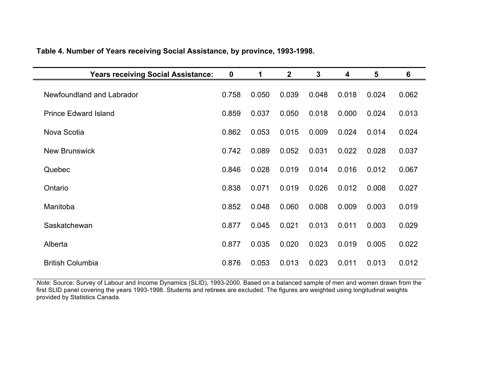| <b>Years receiving Social Assistance:</b> | $\mathbf 0$ | 1     | $\mathbf{2}$ | 3     | 4     | 5     | 6     |
|-------------------------------------------|-------------|-------|--------------|-------|-------|-------|-------|
| Newfoundland and Labrador                 | 0.758       | 0.050 | 0.039        | 0.048 | 0.018 | 0.024 | 0.062 |
| <b>Prince Edward Island</b>               | 0.859       | 0.037 | 0.050        | 0.018 | 0.000 | 0.024 | 0.013 |
| Nova Scotia                               | 0.862       | 0.053 | 0.015        | 0.009 | 0.024 | 0.014 | 0.024 |
| <b>New Brunswick</b>                      | 0.742       | 0.089 | 0.052        | 0.031 | 0.022 | 0.028 | 0.037 |
| Quebec                                    | 0.846       | 0.028 | 0.019        | 0.014 | 0.016 | 0.012 | 0.067 |
| Ontario                                   | 0.838       | 0.071 | 0.019        | 0.026 | 0.012 | 0.008 | 0.027 |
| Manitoba                                  | 0.852       | 0.048 | 0.060        | 0.008 | 0.009 | 0.003 | 0.019 |
| Saskatchewan                              | 0.877       | 0.045 | 0.021        | 0.013 | 0.011 | 0.003 | 0.029 |
| Alberta                                   | 0.877       | 0.035 | 0.020        | 0.023 | 0.019 | 0.005 | 0.022 |
| <b>British Columbia</b>                   | 0.876       | 0.053 | 0.013        | 0.023 | 0.011 | 0.013 | 0.012 |

**Table 4. Number of Years receiving Social Assistance, by province, 1993-1998.**

*Note*: Source: Survey of Labour and Income Dynamics (SLID), 1993-2000. Based on a balanced sample of men and women drawn from the first SLID panel covering the years 1993-1998. Students and retirees are excluded. The figures are weighted using longitudinal weights provided by Statistics Canada.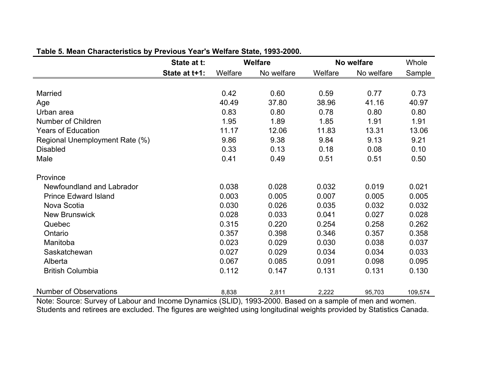|                                | State at t:   |         | <b>Welfare</b> |         | No welfare | Whole   |
|--------------------------------|---------------|---------|----------------|---------|------------|---------|
|                                | State at t+1: | Welfare | No welfare     | Welfare | No welfare | Sample  |
|                                |               |         |                |         |            |         |
| <b>Married</b>                 |               | 0.42    | 0.60           | 0.59    | 0.77       | 0.73    |
| Age                            |               | 40.49   | 37.80          | 38.96   | 41.16      | 40.97   |
| Urban area                     |               | 0.83    | 0.80           | 0.78    | 0.80       | 0.80    |
| Number of Children             |               | 1.95    | 1.89           | 1.85    | 1.91       | 1.91    |
| <b>Years of Education</b>      |               | 11.17   | 12.06          | 11.83   | 13.31      | 13.06   |
| Regional Unemployment Rate (%) |               | 9.86    | 9.38           | 9.84    | 9.13       | 9.21    |
| <b>Disabled</b>                |               | 0.33    | 0.13           | 0.18    | 0.08       | 0.10    |
| Male                           |               | 0.41    | 0.49           | 0.51    | 0.51       | 0.50    |
| Province                       |               |         |                |         |            |         |
| Newfoundland and Labrador      |               | 0.038   | 0.028          | 0.032   | 0.019      | 0.021   |
| <b>Prince Edward Island</b>    |               | 0.003   | 0.005          | 0.007   | 0.005      | 0.005   |
| Nova Scotia                    |               | 0.030   | 0.026          | 0.035   | 0.032      | 0.032   |
| <b>New Brunswick</b>           |               | 0.028   | 0.033          | 0.041   | 0.027      | 0.028   |
| Quebec                         |               | 0.315   | 0.220          | 0.254   | 0.258      | 0.262   |
| Ontario                        |               | 0.357   | 0.398          | 0.346   | 0.357      | 0.358   |
| Manitoba                       |               | 0.023   | 0.029          | 0.030   | 0.038      | 0.037   |
| Saskatchewan                   |               | 0.027   | 0.029          | 0.034   | 0.034      | 0.033   |
| Alberta                        |               | 0.067   | 0.085          | 0.091   | 0.098      | 0.095   |
| <b>British Columbia</b>        |               | 0.112   | 0.147          | 0.131   | 0.131      | 0.130   |
| <b>Number of Observations</b>  |               | 8,838   | 2,811          | 2,222   | 95,703     | 109,574 |

#### **Table 5. Mean Characteristics by Previous Year's Welfare State, 1993-2000.**

Note: Source: Survey of Labour and Income Dynamics (SLID), 1993-2000. Based on a sample of men and women. Students and retirees are excluded. The figures are weighted using longitudinal weights provided by Statistics Canada.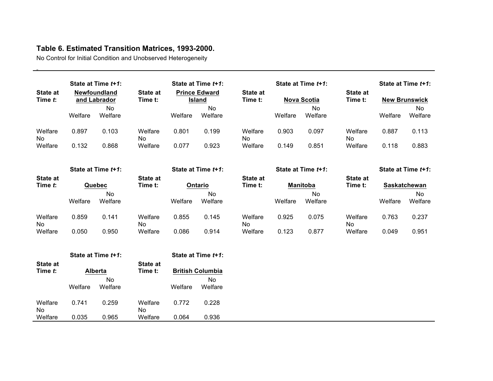### **Table 6. Estimated Transition Matrices, 1993-2000.**

No Control for Initial Condition and Unobserved Heterogeneity

|                            |         | State at Time t+1:           |                            |         | State at Time t+1:             |                     |         | State at Time t+1:           |                            |              | State at Time t+1:   |
|----------------------------|---------|------------------------------|----------------------------|---------|--------------------------------|---------------------|---------|------------------------------|----------------------------|--------------|----------------------|
| <b>State at</b><br>Time t: |         | Newfoundland<br>and Labrador | <b>State at</b><br>Time t: |         | <b>Prince Edward</b><br>Island | State at<br>Time t: |         | <b>Nova Scotia</b>           | <b>State at</b><br>Time t: |              | <b>New Brunswick</b> |
|                            | Welfare | <b>No</b><br>Welfare         |                            | Welfare | <b>No</b><br>Welfare           |                     | Welfare | <b>No</b><br>Welfare         |                            | Welfare      | <b>No</b><br>Welfare |
| Welfare<br>No              | 0.897   | 0.103                        | Welfare<br>No              | 0.801   | 0.199                          | Welfare<br>No       | 0.903   | 0.097                        | Welfare<br>No              | 0.887        | 0.113                |
| Welfare                    | 0.132   | 0.868                        | Welfare                    | 0.077   | 0.923                          | Welfare             | 0.149   | 0.851                        | Welfare                    | 0.118        | 0.883                |
|                            |         | State at Time t+1:           |                            |         | State at Time t+1:             |                     |         | State at Time t+1:           |                            |              | State at Time t+1:   |
| <b>State at</b>            |         |                              | <b>State at</b>            |         |                                | State at            |         |                              | <b>State at</b>            |              |                      |
| Time t:                    |         | Quebec<br>No                 | Time t:                    |         | Ontario<br>No                  | Time t:             |         | <b>Manitoba</b><br><b>No</b> | Time t:                    | Saskatchewan | <b>No</b>            |
|                            | Welfare | Welfare                      |                            | Welfare | Welfare                        |                     | Welfare | Welfare                      |                            | Welfare      | Welfare              |
| Welfare<br>No              | 0.859   | 0.141                        | Welfare<br>No.             | 0.855   | 0.145                          | Welfare<br>No       | 0.925   | 0.075                        | Welfare<br>No.             | 0.763        | 0.237                |
| Welfare                    | 0.050   | 0.950                        | Welfare                    | 0.086   | 0.914                          | Welfare             | 0.123   | 0.877                        | Welfare                    | 0.049        | 0.951                |
|                            |         | State at Time t+1:           |                            |         | State at Time t+1:             |                     |         |                              |                            |              |                      |
| <b>State at</b><br>Time t: |         | <b>Alberta</b>               | <b>State at</b><br>Time t: |         | <b>British Columbia</b>        |                     |         |                              |                            |              |                      |
|                            | Welfare | No<br>Welfare                |                            | Welfare | No<br>Welfare                  |                     |         |                              |                            |              |                      |
| Welfare<br>No.             | 0.741   | 0.259                        | Welfare<br>No.             | 0.772   | 0.228                          |                     |         |                              |                            |              |                      |
| Welfare                    | 0.035   | 0.965                        | Welfare                    | 0.064   | 0.936                          |                     |         |                              |                            |              |                      |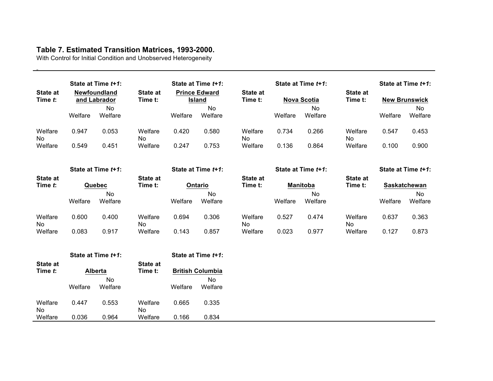### **Table 7. Estimated Transition Matrices, 1993-2000.**

With Control for Initial Condition and Unobserved Heterogeneity

|                            |         | State at Time t+1:           |                            |         | State at Time t+1:                    |                            |         | State at Time t+1: |                     |         | State at Time t+1:   |
|----------------------------|---------|------------------------------|----------------------------|---------|---------------------------------------|----------------------------|---------|--------------------|---------------------|---------|----------------------|
| <b>State at</b><br>Time t: |         | Newfoundland<br>and Labrador | <b>State at</b><br>Time t: |         | <b>Prince Edward</b><br><b>Island</b> | <b>State at</b><br>Time t: |         | <b>Nova Scotia</b> | State at<br>Time t: |         | <b>New Brunswick</b> |
|                            | Welfare | No.<br>Welfare               |                            | Welfare | No.<br>Welfare                        |                            | Welfare | No<br>Welfare      |                     | Welfare | No<br>Welfare        |
| Welfare<br>No              | 0.947   | 0.053                        | Welfare<br>No              | 0.420   | 0.580                                 | Welfare<br>No              | 0.734   | 0.266              | Welfare<br>No       | 0.547   | 0.453                |
| Welfare                    | 0.549   | 0.451                        | Welfare                    | 0.247   | 0.753                                 | Welfare                    | 0.136   | 0.864              | Welfare             | 0.100   | 0.900                |
|                            |         | State at Time t+1:           |                            |         | State at Time t+1:                    |                            |         | State at Time t+1: |                     |         | State at Time t+1:   |
| State at                   |         |                              | <b>State at</b>            |         |                                       | <b>State at</b>            |         |                    | State at            |         |                      |
| Time t:                    |         | Quebec                       | Time t:                    |         | Ontario                               | Time t:                    |         | <b>Manitoba</b>    | Time t:             |         | <b>Saskatchewan</b>  |
|                            | Welfare | No.<br>Welfare               |                            | Welfare | No<br>Welfare                         |                            | Welfare | No.<br>Welfare     |                     | Welfare | No<br>Welfare        |
| Welfare<br>No.             | 0.600   | 0.400                        | Welfare<br>No.             | 0.694   | 0.306                                 | Welfare<br><b>No</b>       | 0.527   | 0.474              | Welfare<br>No.      | 0.637   | 0.363                |
| Welfare                    | 0.083   | 0.917                        | Welfare                    | 0.143   | 0.857                                 | Welfare                    | 0.023   | 0.977              | Welfare             | 0.127   | 0.873                |
|                            |         | State at Time t+1:           |                            |         | State at Time t+1:                    |                            |         |                    |                     |         |                      |
| <b>State at</b>            |         |                              | <b>State at</b>            |         |                                       |                            |         |                    |                     |         |                      |
| Time t:                    |         | <b>Alberta</b>               | Time t:                    |         | <b>British Columbia</b>               |                            |         |                    |                     |         |                      |
|                            | Welfare | No<br>Welfare                |                            | Welfare | <b>No</b><br>Welfare                  |                            |         |                    |                     |         |                      |
| Welfare<br>No              | 0.447   | 0.553                        | Welfare<br>No              | 0.665   | 0.335                                 |                            |         |                    |                     |         |                      |
| Welfare                    | 0.036   | 0.964                        | Welfare                    | 0.166   | 0.834                                 |                            |         |                    |                     |         |                      |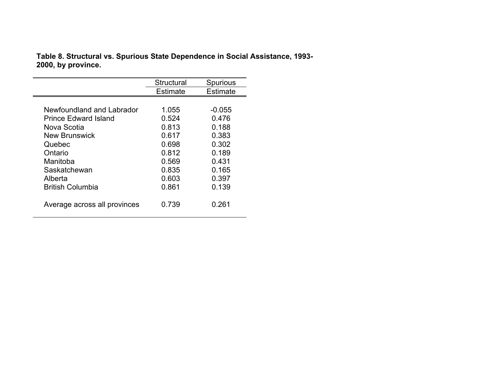**Table 8. Structural vs. Spurious State Dependence in Social Assistance, 1993- 2000, by province.**

|                              | Structural      | <b>Spurious</b> |
|------------------------------|-----------------|-----------------|
|                              | <b>Estimate</b> | <b>Estimate</b> |
|                              |                 |                 |
| Newfoundland and Labrador    | 1.055           | $-0.055$        |
| <b>Prince Edward Island</b>  | 0.524           | 0.476           |
| Nova Scotia                  | 0.813           | 0.188           |
| New Brunswick                | 0.617           | 0.383           |
| Quebec                       | 0.698           | 0.302           |
| Ontario                      | 0.812           | 0.189           |
| Manitoba                     | 0.569           | 0.431           |
| Saskatchewan                 | 0.835           | 0.165           |
| Alberta                      | 0.603           | 0.397           |
| <b>British Columbia</b>      | 0.861           | 0.139           |
| Average across all provinces | 0.739           | 0.261           |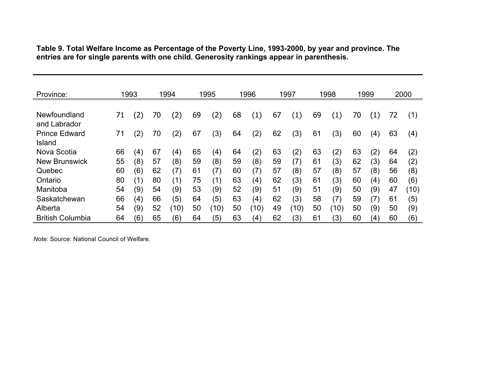| Province:                      |    | 1993              |    | 1994 |    | 1995 |    | 1996              |    | 1997              |    | 1998              |    | 1999              |    | 2000 |
|--------------------------------|----|-------------------|----|------|----|------|----|-------------------|----|-------------------|----|-------------------|----|-------------------|----|------|
|                                |    |                   |    |      |    |      |    |                   |    |                   |    |                   |    |                   |    |      |
| Newfoundland<br>and Labrador   | 71 | $\left( 2\right)$ | 70 | (2)  | 69 | '2)  | 68 | $\left( 1\right)$ | 67 | $\left( 1\right)$ | 69 | $\left( 1\right)$ | 70 | $\left(1\right)$  | 72 | (1)  |
| <b>Prince Edward</b><br>Island | 71 | (2)               | 70 | (2)  | 67 | (3)  | 64 | $\left( 2\right)$ | 62 | (3)               | 61 | (3)               | 60 | (4)               | 63 | (4)  |
| Nova Scotia                    | 66 | (4)               | 67 | (4)  | 65 | (4)  | 64 | $\left( 2\right)$ | 63 | (2)               | 63 | (2)               | 63 | (2)               | 64 | (2)  |
| <b>New Brunswick</b>           | 55 | (8)               | 57 | (8)  | 59 | (8)  | 59 | (8)               | 59 | (7)               | 61 | (3)               | 62 | (3)               | 64 | (2)  |
| Quebec                         | 60 | (6)               | 62 | (7)  | 61 | (7)  | 60 | (7)               | 57 | (8)               | 57 | (8)               | 57 | (8)               | 56 | (8)  |
| Ontario                        | 80 | (1)               | 80 | (1)  | 75 | (1)  | 63 | (4)               | 62 | (3)               | 61 | (3)               | 60 | (4)               | 60 | (6)  |
| Manitoba                       | 54 | (9)               | 54 | (9)  | 53 | (9)  | 52 | (9)               | 51 | (9)               | 51 | (9)               | 50 | (9)               | 47 | (10) |
| Saskatchewan                   | 66 | (4)               | 66 | (5)  | 64 | (5)  | 63 | (4)               | 62 | (3)               | 58 | (7)               | 59 | (7)               | 61 | (5)  |
| Alberta                        | 54 | (9)               | 52 | (10) | 50 | (10) | 50 | (10)              | 49 | (10)              | 50 | (10)              | 50 | (9)               | 50 | (9)  |
| <b>British Columbia</b>        | 64 | (6)               | 65 | (6)  | 64 | (5)  | 63 | (4)               | 62 | (3)               | 61 | (3)               | 60 | $\left( 4\right)$ | 60 | (6)  |

**Table 9. Total Welfare Income as Percentage of the Poverty Line, 1993-2000, by year and province. The entries are for single parents with one child. Generosity rankings appear in parenthesis.**

*Note*: Source: National Council of Welfare.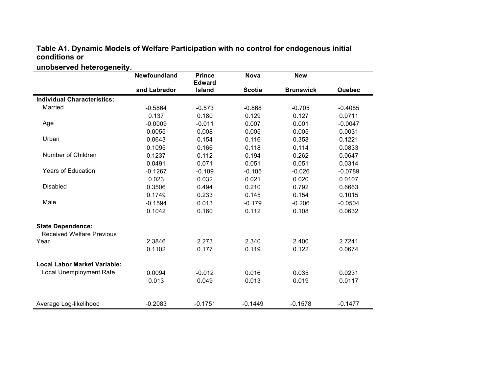#### **Table A1. Dynamic Models of Welfare Participation with no control for endogenous initial conditions or**

### **unobserved heterogeneity.**

|                                     | Newfoundland | <b>Prince</b> | <b>Nova</b>   | <b>New</b>       |           |
|-------------------------------------|--------------|---------------|---------------|------------------|-----------|
|                                     |              | <b>Edward</b> |               |                  |           |
|                                     | and Labrador | Island        | <b>Scotia</b> | <b>Brunswick</b> | Quebec    |
| <b>Individual Characteristics:</b>  |              |               |               |                  |           |
| Married                             | $-0.5864$    | $-0.573$      | $-0.868$      | $-0.705$         | $-0.4085$ |
|                                     | 0.137        | 0.180         | 0.129         | 0.127            | 0.0711    |
| Age                                 | $-0.0009$    | $-0.011$      | 0.007         | 0.001            | $-0.0047$ |
|                                     | 0.0055       | 0.008         | 0.005         | 0.005            | 0.0031    |
| Urban                               | 0.0643       | 0.154         | 0.116         | 0.358            | 0.1221    |
|                                     | 0.1095       | 0.166         | 0.118         | 0.114            | 0.0833    |
| Number of Children                  | 0.1237       | 0.112         | 0.194         | 0.262            | 0.0647    |
|                                     | 0.0491       | 0.071         | 0.051         | 0.051            | 0.0314    |
| <b>Years of Education</b>           | $-0.1267$    | $-0.109$      | $-0.105$      | $-0.026$         | $-0.0789$ |
|                                     | 0.023        | 0.032         | 0.021         | 0.020            | 0.0107    |
| <b>Disabled</b>                     | 0.3506       | 0.494         | 0.210         | 0.792            | 0.6663    |
|                                     | 0.1749       | 0.233         | 0.145         | 0.154            | 0.1015    |
| Male                                | $-0.1594$    | 0.013         | $-0.179$      | $-0.206$         | $-0.0504$ |
|                                     | 0.1042       | 0.160         | 0.112         | 0.108            | 0.0632    |
| <b>State Dependence:</b>            |              |               |               |                  |           |
| <b>Received Welfare Previous</b>    |              |               |               |                  |           |
| Year                                | 2.3846       | 2.273         | 2.340         | 2.400            | 2.7241    |
|                                     | 0.1102       | 0.177         | 0.119         | 0.122            | 0.0674    |
| <b>Local Labor Market Variable:</b> |              |               |               |                  |           |
| <b>Local Unemployment Rate</b>      | 0.0094       | $-0.012$      | 0.016         | 0.035            | 0.0231    |
|                                     | 0.013        | 0.049         | 0.013         | 0.019            | 0.0117    |
|                                     |              |               |               |                  |           |
| Average Log-likelihood              | $-0.2083$    | $-0.1751$     | $-0.1449$     | $-0.1578$        | $-0.1477$ |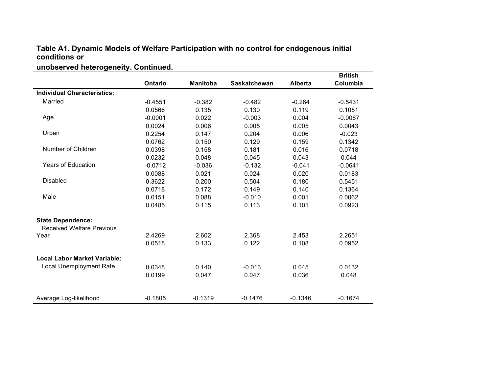#### **Table A1. Dynamic Models of Welfare Participation with no control for endogenous initial conditions or**

### **unobserved heterogeneity. Continued.**

|                                     |                |                 |                     |                | <b>British</b> |
|-------------------------------------|----------------|-----------------|---------------------|----------------|----------------|
|                                     | <b>Ontario</b> | <b>Manitoba</b> | <b>Saskatchewan</b> | <b>Alberta</b> | Columbia       |
| <b>Individual Characteristics:</b>  |                |                 |                     |                |                |
| Married                             | $-0.4551$      | $-0.382$        | $-0.482$            | $-0.264$       | $-0.5431$      |
|                                     | 0.0566         | 0.135           | 0.130               | 0.119          | 0.1051         |
| Age                                 | $-0.0001$      | 0.022           | $-0.003$            | 0.004          | $-0.0067$      |
|                                     | 0.0024         | 0.006           | 0.005               | 0.005          | 0.0043         |
| Urban                               | 0.2254         | 0.147           | 0.204               | 0.006          | $-0.023$       |
|                                     | 0.0762         | 0.150           | 0.129               | 0.159          | 0.1342         |
| Number of Children                  | 0.0398         | 0.158           | 0.181               | 0.016          | 0.0718         |
|                                     | 0.0232         | 0.048           | 0.045               | 0.043          | 0.044          |
| <b>Years of Education</b>           | $-0.0712$      | $-0.036$        | $-0.132$            | $-0.041$       | $-0.0641$      |
|                                     | 0.0088         | 0.021           | 0.024               | 0.020          | 0.0183         |
| <b>Disabled</b>                     | 0.3622         | 0.200           | 0.504               | 0.180          | 0.5451         |
|                                     | 0.0718         | 0.172           | 0.149               | 0.140          | 0.1364         |
| Male                                | 0.0151         | 0.088           | $-0.010$            | 0.001          | 0.0062         |
|                                     | 0.0485         | 0.115           | 0.113               | 0.101          | 0.0923         |
| <b>State Dependence:</b>            |                |                 |                     |                |                |
| <b>Received Welfare Previous</b>    |                |                 |                     |                |                |
| Year                                | 2.4269         | 2.602           | 2.368               | 2.453          | 2.2651         |
|                                     | 0.0518         | 0.133           | 0.122               | 0.108          | 0.0952         |
| <b>Local Labor Market Variable:</b> |                |                 |                     |                |                |
| <b>Local Unemployment Rate</b>      | 0.0348         | 0.140           | $-0.013$            | 0.045          | 0.0132         |
|                                     | 0.0199         | 0.047           | 0.047               | 0.036          | 0.048          |
| Average Log-likelihood              | $-0.1805$      | $-0.1319$       | $-0.1476$           | $-0.1346$      | $-0.1674$      |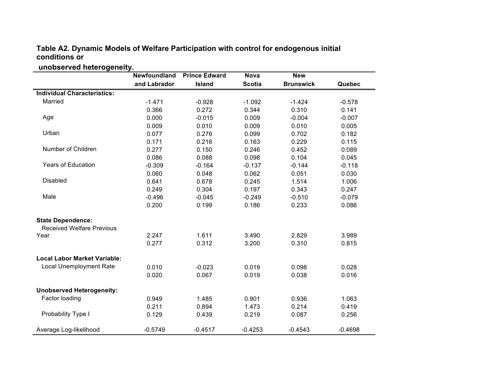#### **Table A2. Dynamic Models of Welfare Participation with control for endogenous initial conditions or**

## **unobserved heterogeneity.**

|                                     | Newfoundland | <b>Prince Edward</b> | <b>Nova</b>   | <b>New</b>       |           |
|-------------------------------------|--------------|----------------------|---------------|------------------|-----------|
|                                     | and Labrador | Island               | <b>Scotia</b> | <b>Brunswick</b> | Quebec    |
| <b>Individual Characteristics:</b>  |              |                      |               |                  |           |
| Married                             | $-1.471$     | $-0.928$             | $-1.092$      | $-1.424$         | $-0.578$  |
|                                     | 0.366        | 0.272                | 0.344         | 0.310            | 0.141     |
| Age                                 | 0.000        | $-0.015$             | 0.009         | $-0.004$         | $-0.007$  |
|                                     | 0.009        | 0.010                | 0.009         | 0.010            | 0.005     |
| Urban                               | 0.077        | 0.276                | 0.099         | 0.702            | 0.182     |
|                                     | 0.171        | 0.216                | 0.163         | 0.229            | 0.115     |
| Number of Children                  | 0.277        | 0.150                | 0.246         | 0.452            | 0.089     |
|                                     | 0.086        | 0.088                | 0.098         | 0.104            | 0.045     |
| <b>Years of Education</b>           | $-0.309$     | $-0.164$             | $-0.137$      | $-0.144$         | $-0.118$  |
|                                     | 0.060        | 0.048                | 0.062         | 0.051            | 0.030     |
| <b>Disabled</b>                     | 0.641        | 0.678                | 0.245         | 1.514            | 1.006     |
|                                     | 0.249        | 0.304                | 0.197         | 0.343            | 0.247     |
| Male                                | $-0.496$     | $-0.045$             | $-0.249$      | $-0.510$         | $-0.079$  |
|                                     | 0.200        | 0.199                | 0.186         | 0.233            | 0.086     |
| <b>State Dependence:</b>            |              |                      |               |                  |           |
| <b>Received Welfare Previous</b>    |              |                      |               |                  |           |
| Year                                | 2.247        | 1.611                | 3.490         | 2.829            | 3.989     |
|                                     | 0.277        | 0.312                | 3.200         | 0.310            | 0.815     |
| <b>Local Labor Market Variable:</b> |              |                      |               |                  |           |
| Local Unemployment Rate             | 0.010        | $-0.023$             | 0.019         | 0.098            | 0.028     |
|                                     | 0.020        | 0.067                | 0.019         | 0.038            | 0.016     |
| <b>Unobserved Heterogeneity:</b>    |              |                      |               |                  |           |
| Factor loading                      | 0.949        | 1.485                | 0.901         | 0.936            | 1.063     |
|                                     | 0.211        | 0.894                | 1.473         | 0.214            | 0.419     |
| Probability Type I                  | 0.129        | 0.439                | 0.219         | 0.087            | 0.256     |
| Average Log-likelihood              | $-0.5749$    | $-0.4517$            | $-0.4253$     | $-0.4543$        | $-0.4698$ |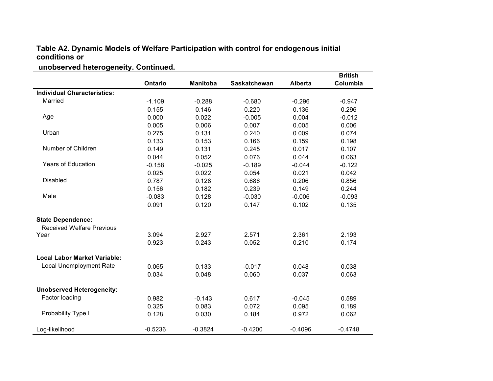#### **Table A2. Dynamic Models of Welfare Participation with control for endogenous initial conditions or**

## **unobserved heterogeneity. Continued.**

|                                     |           |                 |                     |                | <b>British</b> |
|-------------------------------------|-----------|-----------------|---------------------|----------------|----------------|
|                                     | Ontario   | <b>Manitoba</b> | <b>Saskatchewan</b> | <b>Alberta</b> | Columbia       |
| <b>Individual Characteristics:</b>  |           |                 |                     |                |                |
| Married                             | $-1.109$  | $-0.288$        | $-0.680$            | $-0.296$       | $-0.947$       |
|                                     | 0.155     | 0.146           | 0.220               | 0.136          | 0.296          |
| Age                                 | 0.000     | 0.022           | $-0.005$            | 0.004          | $-0.012$       |
|                                     | 0.005     | 0.006           | 0.007               | 0.005          | 0.006          |
| Urban                               | 0.275     | 0.131           | 0.240               | 0.009          | 0.074          |
|                                     | 0.133     | 0.153           | 0.166               | 0.159          | 0.198          |
| Number of Children                  | 0.149     | 0.131           | 0.245               | 0.017          | 0.107          |
|                                     | 0.044     | 0.052           | 0.076               | 0.044          | 0.063          |
| <b>Years of Education</b>           | $-0.158$  | $-0.025$        | $-0.189$            | $-0.044$       | $-0.122$       |
|                                     | 0.025     | 0.022           | 0.054               | 0.021          | 0.042          |
| <b>Disabled</b>                     | 0.787     | 0.128           | 0.686               | 0.206          | 0.856          |
|                                     | 0.156     | 0.182           | 0.239               | 0.149          | 0.244          |
| Male                                | $-0.083$  | 0.128           | $-0.030$            | $-0.006$       | $-0.093$       |
|                                     | 0.091     | 0.120           | 0.147               | 0.102          | 0.135          |
| <b>State Dependence:</b>            |           |                 |                     |                |                |
| <b>Received Welfare Previous</b>    |           |                 |                     |                |                |
| Year                                | 3.094     | 2.927           | 2.571               | 2.361          | 2.193          |
|                                     | 0.923     | 0.243           | 0.052               | 0.210          | 0.174          |
| <b>Local Labor Market Variable:</b> |           |                 |                     |                |                |
| <b>Local Unemployment Rate</b>      | 0.065     | 0.133           | $-0.017$            | 0.048          | 0.038          |
|                                     | 0.034     | 0.048           | 0.060               | 0.037          | 0.063          |
| <b>Unobserved Heterogeneity:</b>    |           |                 |                     |                |                |
| Factor loading                      | 0.982     | $-0.143$        | 0.617               | $-0.045$       | 0.589          |
|                                     | 0.325     | 0.083           | 0.072               | 0.095          | 0.189          |
| Probability Type I                  | 0.128     | 0.030           | 0.184               | 0.972          | 0.062          |
| Log-likelihood                      | $-0.5236$ | $-0.3824$       | $-0.4200$           | $-0.4096$      | $-0.4748$      |